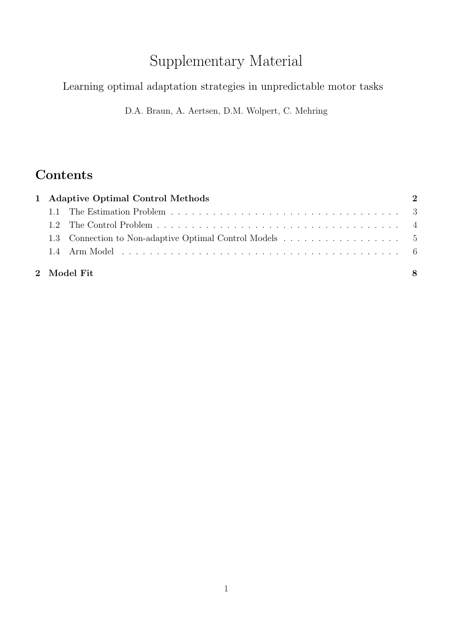# Supplementary Material

### Learning optimal adaptation strategies in unpredictable motor tasks

D.A. Braun, A. Aertsen, D.M. Wolpert, C. Mehring

## **Contents**

| 1 Adaptive Optimal Control Methods |             |   |
|------------------------------------|-------------|---|
|                                    |             |   |
|                                    |             |   |
|                                    |             |   |
|                                    |             |   |
|                                    | 2 Model Fit | 8 |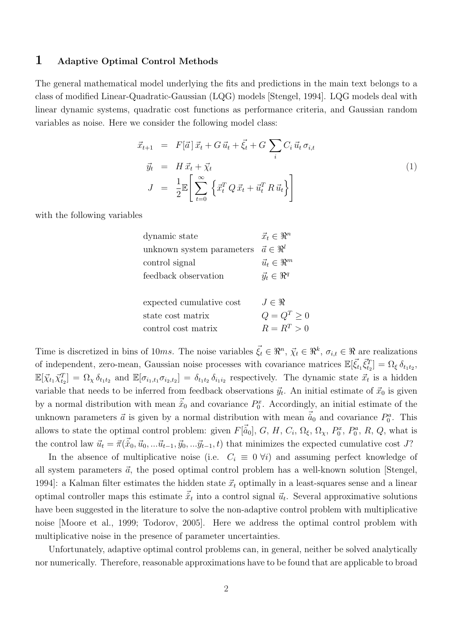#### 1 Adaptive Optimal Control Methods

The general mathematical model underlying the fits and predictions in the main text belongs to a class of modified Linear-Quadratic-Gaussian (LQG) models [Stengel, 1994]. LQG models deal with linear dynamic systems, quadratic cost functions as performance criteria, and Gaussian random variables as noise. Here we consider the following model class:

$$
\vec{x}_{t+1} = F[\vec{a}] \vec{x}_t + G \vec{u}_t + \vec{\xi}_t + G \sum_i C_i \vec{u}_t \sigma_{i,t}
$$
\n
$$
\vec{y}_t = H \vec{x}_t + \vec{\chi}_t
$$
\n
$$
J = \frac{1}{2} \mathbb{E} \left[ \sum_{t=0}^{\infty} \left\{ \vec{x}_t^T Q \vec{x}_t + \vec{u}_t^T R \vec{u}_t \right\} \right]
$$
\n(1)

with the following variables

| dynamic state             | $\vec{x}_t \in \Re^n$ |
|---------------------------|-----------------------|
| unknown system parameters | $\vec{a} \in \Re^l$   |
| control signal            | $\vec{u}_t \in \Re^m$ |
| feedback observation      | $\vec{y}_t \in \Re^q$ |
| expected cumulative cost  | $J \in \Re$           |
| state cost matrix         | $Q = Q^T \geq 0$      |
| control cost matrix       | $R = R^T > 0$         |

Time is discretized in bins of 10ms. The noise variables  $\vec{\xi}_t \in \mathbb{R}^n$ ,  $\vec{\chi}_t \in \mathbb{R}^k$ ,  $\sigma_{i,t} \in \mathbb{R}$  are realizations of independent, zero-mean, Gaussian noise processes with covariance matrices  $\mathbb{E}[\vec{\xi}_t, \vec{\xi}_{t_2}^T] = \Omega_{\xi} \delta_{t_1 t_2}$ ,  $\mathbb{E}[\vec{\chi}_{t_1} \vec{\chi}_{t_2}^T] = \Omega_{\chi} \delta_{t_1 t_2}$  and  $\mathbb{E}[\sigma_{i_1,t_1} \sigma_{i_2,t_2}] = \delta_{t_1 t_2} \delta_{i_1 i_2}$  respectively. The dynamic state  $\vec{x}_t$  is a hidden variable that needs to be inferred from feedback observations  $\vec{y}_t$ . An initial estimate of  $\vec{x}_0$  is given by a normal distribution with mean  $\vec{x}_0$  and covariance  $P_0^x$ . Accordingly, an initial estimate of the unknown parameters  $\vec{a}$  is given by a normal distribution with mean  $\vec{a}_0$  and covariance  $P_0^a$ . This allows to state the optimal control problem: given  $F[\vec{\hat{a}}_0], G, H, C_i, \Omega_\xi, \Omega_\chi, P_0^x, P_0^a, R, Q$ , what is the control law  $\vec{u}_t = \vec{\pi}(\vec{\hat{x}}_0, \vec{u}_0, \dots \vec{u}_{t-1}, \vec{y}_0, \dots \vec{y}_{t-1}, t)$  that minimizes the expected cumulative cost J?

In the absence of multiplicative noise (i.e.  $C_i \equiv 0 \forall i$ ) and assuming perfect knowledge of all system parameters  $\vec{a}$ , the posed optimal control problem has a well-known solution [Stengel, 1994]: a Kalman filter estimates the hidden state  $\vec{x}_t$  optimally in a least-squares sense and a linear optimal controller maps this estimate  $\vec{\hat{x}}_t$  into a control signal  $\vec{u}_t$ . Several approximative solutions have been suggested in the literature to solve the non-adaptive control problem with multiplicative noise [Moore et al., 1999; Todorov, 2005]. Here we address the optimal control problem with multiplicative noise in the presence of parameter uncertainties.

Unfortunately, adaptive optimal control problems can, in general, neither be solved analytically nor numerically. Therefore, reasonable approximations have to be found that are applicable to broad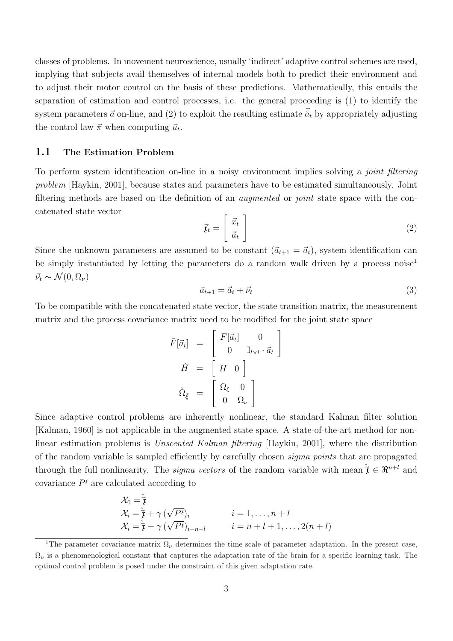classes of problems. In movement neuroscience, usually 'indirect' adaptive control schemes are used, implying that subjects avail themselves of internal models both to predict their environment and to adjust their motor control on the basis of these predictions. Mathematically, this entails the separation of estimation and control processes, i.e. the general proceeding is (1) to identify the system parameters  $\vec{a}$  on-line, and (2) to exploit the resulting estimate  $\vec{\hat{a}}_t$  by appropriately adjusting the control law  $\vec{\pi}$  when computing  $\vec{u}_t$ .

#### 1.1 The Estimation Problem

To perform system identification on-line in a noisy environment implies solving a *joint filtering problem* [Haykin, 2001], because states and parameters have to be estimated simultaneously. Joint filtering methods are based on the definition of an *augmented* or *joint* state space with the concatenated state vector

$$
\vec{\mathbf{r}}_t = \begin{bmatrix} \vec{x}_t \\ \vec{a}_t \end{bmatrix} \tag{2}
$$

Since the unknown parameters are assumed to be constant  $(\vec{a}_{t+1} = \vec{a}_t)$ , system identification can be simply instantiated by letting the parameters do a random walk driven by a process noise<sup>1</sup>  $\vec{\nu}_t \sim \mathcal{N}(0, \Omega_\nu)$ 

$$
\vec{a}_{t+1} = \vec{a}_t + \vec{\nu}_t \tag{3}
$$

To be compatible with the concatenated state vector, the state transition matrix, the measurement matrix and the process covariance matrix need to be modified for the joint state space

$$
\tilde{F}[\vec{a}_t] = \begin{bmatrix} F[\vec{a}_t] & 0 \\ 0 & \mathbb{I}_{l \times l} \cdot \vec{a}_t \end{bmatrix}
$$

$$
\tilde{H} = \begin{bmatrix} H & 0 \end{bmatrix}
$$

$$
\tilde{\Omega}_{\tilde{\xi}} = \begin{bmatrix} \Omega_{\xi} & 0 \\ 0 & \Omega_{\nu} \end{bmatrix}
$$

Since adaptive control problems are inherently nonlinear, the standard Kalman filter solution [Kalman, 1960] is not applicable in the augmented state space. A state-of-the-art method for nonlinear estimation problems is *Unscented Kalman filtering* [Haykin, 2001], where the distribution of the random variable is sampled efficiently by carefully chosen *sigma points* that are propagated through the full nonlinearity. The *sigma vectors* of the random variable with mean  $\hat{\tau} \in \mathbb{R}^{n+l}$  and covariance  $P^{\mathfrak{r}}$  are calculated according to

$$
\mathcal{X}_0 = \hat{\vec{t}}
$$
\n
$$
\mathcal{X}_i = \hat{\vec{t}} + \gamma \left( \sqrt{P^{\mathfrak{x}}} \right)_i \qquad i = 1, \dots, n+l
$$
\n
$$
\mathcal{X}_i = \hat{\vec{t}} - \gamma \left( \sqrt{P^{\mathfrak{x}}} \right)_{i-n-l} \qquad i = n+l+1, \dots, 2(n+l)
$$

<sup>&</sup>lt;sup>1</sup>The parameter covariance matrix  $\Omega_{\nu}$  determines the time scale of parameter adaptation. In the present case,  $\Omega_{\nu}$  is a phenomenological constant that captures the adaptation rate of the brain for a specific learning task. The optimal control problem is posed under the constraint of this given adaptation rate.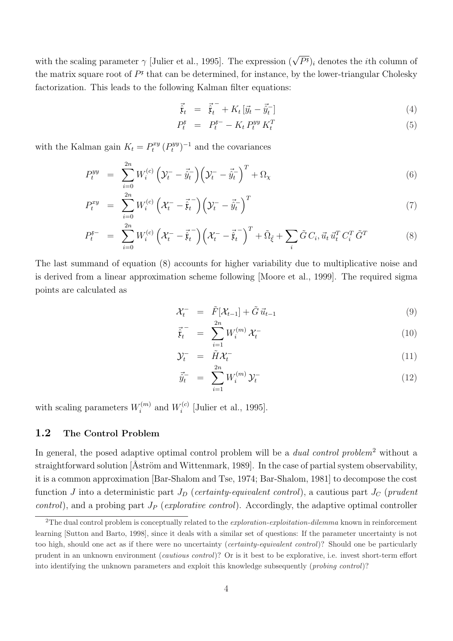with the scaling parameter  $\gamma$  [Julier et al., 1995]. The expression  $(\sqrt{P^{\mathfrak{x}}})_i$  denotes the *i*th column of the matrix square root of  $P<sup>\mathfrak{r}</sup>$  that can be determined, for instance, by the lower-triangular Cholesky factorization. This leads to the following Kalman filter equations:

$$
\vec{\hat{\mathbf{t}}}_t = \vec{\hat{\mathbf{t}}}_t - K_t \left[ \vec{y}_t - \vec{\hat{y}}_t \right] \tag{4}
$$

$$
P_t^{\mathfrak{r}} = P_t^{\mathfrak{r}-} - K_t P_t^{yy} K_t^T \tag{5}
$$

with the Kalman gain  $K_t = P_t^{xy} (P_t^{yy})^{-1}$  and the covariances

$$
P_t^{yy} = \sum_{i=0}^{2n} W_i^{(c)} \left( \mathcal{Y}_t^- - \vec{\hat{y}}_t^- \right) \left( \mathcal{Y}_t^- - \vec{\hat{y}}_t^- \right)^T + \Omega_\chi \tag{6}
$$

$$
P_t^{xy} = \sum_{i=0}^{2n} W_i^{(c)} \left( \mathcal{X}_t^- - \vec{\hat{\mathfrak{x}}}_t^- \right) \left( \mathcal{Y}_t^- - \vec{\hat{y}}_t^- \right)^T \tag{7}
$$

$$
P_t^{\mathfrak{r}-} = \sum_{i=0}^{2n} W_i^{(c)} \left( \mathcal{X}_t^- - \vec{\hat{\mathfrak{x}}}_t^- \right) \left( \mathcal{X}_t^- - \vec{\hat{\mathfrak{x}}}_t^- \right)^T + \tilde{\Omega}_{\tilde{\xi}} + \sum_i \tilde{G} C_i, \vec{u}_t \, \vec{u}_t^T C_i^T \, \tilde{G}^T \tag{8}
$$

The last summand of equation (8) accounts for higher variability due to multiplicative noise and is derived from a linear approximation scheme following [Moore et al., 1999]. The required sigma points are calculated as

$$
\mathcal{X}_t^- = \tilde{F}[\mathcal{X}_{t-1}] + \tilde{G} \,\vec{u}_{t-1} \tag{9}
$$

$$
\vec{\hat{t}}_t^{-} = \sum_{i=1}^{N} W_i^{(m)} \mathcal{X}_t^{-} \tag{10}
$$

$$
\mathcal{Y}_t^- = \tilde{H} \mathcal{X}_t^- \tag{11}
$$

$$
\vec{\hat{y}}_t^- = \sum_{i=1}^{2n} W_i^{(m)} \mathcal{Y}_t^- \tag{12}
$$

with scaling parameters  $W_i^{(m)}$  and  $W_i^{(c)}$  [Julier et al., 1995].

#### 1.2 The Control Problem

In general, the posed adaptive optimal control problem will be a *dual control problem*<sup>2</sup> without a straightforward solution [ $Åström$  and Wittenmark, 1989]. In the case of partial system observability, it is a common approximation [Bar-Shalom and Tse, 1974; Bar-Shalom, 1981] to decompose the cost function  $J$  into a deterministic part  $J_D$  (*certainty-equivalent control*), a cautious part  $J_C$  (*prudent control*), and a probing part  $J_P$  (*explorative control*). Accordingly, the adaptive optimal controller

<sup>2</sup>The dual control problem is conceptually related to the *exploration-exploitation-dilemma* known in reinforcement learning [Sutton and Barto, 1998], since it deals with a similar set of questions: If the parameter uncertainty is not too high, should one act as if there were no uncertainty (*certainty-equivalent control*)? Should one be particularly prudent in an unknown environment (*cautious control*)? Or is it best to be explorative, i.e. invest short-term effort into identifying the unknown parameters and exploit this knowledge subsequently (*probing control*)?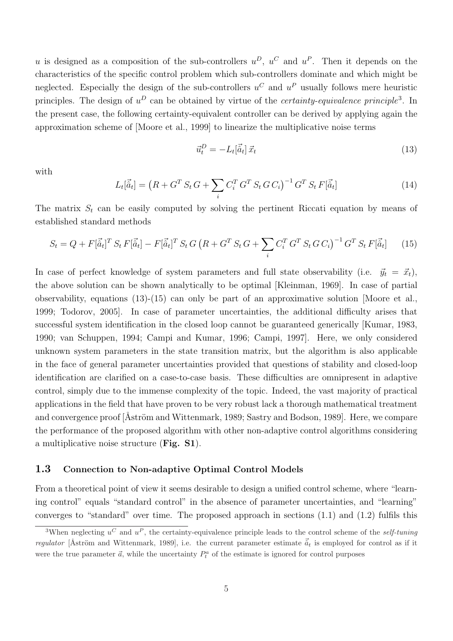u is designed as a composition of the sub-controllers  $u^D$ ,  $u^C$  and  $u^P$ . Then it depends on the characteristics of the specific control problem which sub-controllers dominate and which might be neglected. Especially the design of the sub-controllers  $u^C$  and  $u^P$  usually follows mere heuristic principles. The design of  $u^D$  can be obtained by virtue of the *certainty-equivalence principle*<sup>3</sup>. In the present case, the following certainty-equivalent controller can be derived by applying again the approximation scheme of [Moore et al., 1999] to linearize the multiplicative noise terms

$$
\vec{u}_t^D = -L_t[\vec{\hat{a}}_t] \,\vec{x}_t \tag{13}
$$

with

$$
L_t[\vec{\hat{a}}_t] = (R + G^T S_t G + \sum_i C_i^T G^T S_t G C_i)^{-1} G^T S_t F[\vec{\hat{a}}_t]
$$
\n(14)

The matrix  $S_t$  can be easily computed by solving the pertinent Riccati equation by means of established standard methods

$$
S_t = Q + F[\vec{\hat{a}}_t]^T S_t F[\vec{\hat{a}}_t] - F[\vec{\hat{a}}_t]^T S_t G (R + G^T S_t G + \sum_i C_i^T G^T S_t G C_i)^{-1} G^T S_t F[\vec{\hat{a}}_t]
$$
(15)

In case of perfect knowledge of system parameters and full state observability (i.e.  $\vec{y}_t = \vec{x}_t$ ), the above solution can be shown analytically to be optimal [Kleinman, 1969]. In case of partial observability, equations (13)-(15) can only be part of an approximative solution [Moore et al., 1999; Todorov, 2005]. In case of parameter uncertainties, the additional difficulty arises that successful system identification in the closed loop cannot be guaranteed generically [Kumar, 1983, 1990; van Schuppen, 1994; Campi and Kumar, 1996; Campi, 1997]. Here, we only considered unknown system parameters in the state transition matrix, but the algorithm is also applicable in the face of general parameter uncertainties provided that questions of stability and closed-loop identification are clarified on a case-to-case basis. These difficulties are omnipresent in adaptive control, simply due to the immense complexity of the topic. Indeed, the vast majority of practical applications in the field that have proven to be very robust lack a thorough mathematical treatment and convergence proof [Aström and Wittenmark, 1989; Sastry and Bodson, 1989]. Here, we compare the performance of the proposed algorithm with other non-adaptive control algorithms considering a multiplicative noise structure (Fig. S1).

#### 1.3 Connection to Non-adaptive Optimal Control Models

From a theoretical point of view it seems desirable to design a unified control scheme, where "learning control" equals "standard control" in the absence of parameter uncertainties, and "learning" converges to "standard" over time. The proposed approach in sections (1.1) and (1.2) fulfils this

<sup>&</sup>lt;sup>3</sup>When neglecting  $u^C$  and  $u^P$ , the certainty-equivalence principle leads to the control scheme of the *self-tuning regulator* [Åström and Wittenmark, 1989], i.e. the current parameter estimate  $\vec{a}_t$  is employed for control as if it were the true parameter  $\vec{a}$ , while the uncertainty  $P_t^a$  of the estimate is ignored for control purposes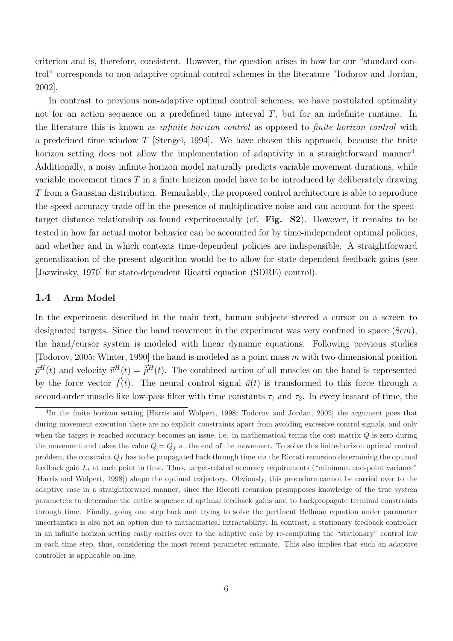criterion and is, therefore, consistent. However, the question arises in how far our "standard control" corresponds to non-adaptive optimal control schemes in the literature [Todorov and Jordan, 2002].

In contrast to previous non-adaptive optimal control schemes, we have postulated optimality not for an action sequence on a predefined time interval  $T$ , but for an indefinite runtime. In the literature this is known as *infinite horizon control* as opposed to *finite horizon control* with a predefined time window  $T$  [Stengel, 1994]. We have chosen this approach, because the finite horizon setting does not allow the implementation of adaptivity in a straightforward manner<sup>4</sup>. Additionally, a noisy infinite horizon model naturally predicts variable movement durations, while variable movement times  $T$  in a finite horizon model have to be introduced by deliberately drawing T from a Gaussian distribution. Remarkably, the proposed control architecture is able to reproduce the speed-accuracy trade-off in the presence of multiplicative noise and can account for the speedtarget distance relationship as found experimentally (cf. Fig. S2). However, it remains to be tested in how far actual motor behavior can be accounted for by time-independent optimal policies, and whether and in which contexts time-dependent policies are indispensible. A straightforward generalization of the present algorithm would be to allow for state-dependent feedback gains (see [Jazwinsky, 1970] for state-dependent Ricatti equation (SDRE) control).

#### 1.4 Arm Model

In the experiment described in the main text, human subjects steered a cursor on a screen to designated targets. Since the hand movement in the experiment was very confined in space  $(8cm)$ , the hand/cursor system is modeled with linear dynamic equations. Following previous studies [Todorov, 2005; Winter, 1990] the hand is modeled as a point mass  $m$  with two-dimensional position  $\vec{p}^H(t)$  and velocity  $\vec{v}^H(t) = \vec{p}^H(t)$ . The combined action of all muscles on the hand is represented by the force vector  $\vec{f}(t)$ . The neural control signal  $\vec{u}(t)$  is transformed to this force through a second-order muscle-like low-pass filter with time constants  $\tau_1$  and  $\tau_2$ . In every instant of time, the

<sup>&</sup>lt;sup>4</sup>In the finite horizon setting [Harris and Wolpert, 1998; Todorov and Jordan, 2002] the argument goes that during movement execution there are no explicit constraints apart from avoiding excessive control signals, and only when the target is reached accuracy becomes an issue, i.e. in mathematical terms the cost matrix  $Q$  is zero during the movement and takes the value  $Q = Q_f$  at the end of the movement. To solve this finite-horizon optimal control problem, the constraint  $Q_f$  has to be propagated back through time via the Riccati recursion determining the optimal feedback gain  $L_t$  at each point in time. Thus, target-related accuracy requirements ("minimum end-point variance" [Harris and Wolpert, 1998]) shape the optimal trajectory. Obviously, this procedure cannot be carried over to the adaptive case in a straightforward manner, since the Riccati recursion presupposes knowledge of the true system parameters to determine the entire sequence of optimal feedback gains and to backpropagate terminal constraints through time. Finally, going one step back and trying to solve the pertinent Bellman equation under parameter uncertainties is also not an option due to mathematical intractability. In contrast, a stationary feedback controller in an infinite horizon setting easily carries over to the adaptive case by re-computing the "stationary" control law in each time step, thus, considering the most recent parameter estimate. This also implies that such an adaptive controller is applicable on-line.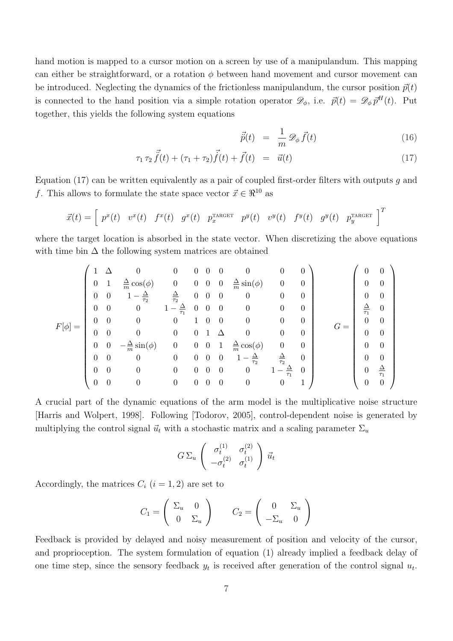hand motion is mapped to a cursor motion on a screen by use of a manipulandum. This mapping can either be straightforward, or a rotation  $\phi$  between hand movement and cursor movement can be introduced. Neglecting the dynamics of the frictionless manipulandum, the cursor position  $\vec{p}(t)$ is connected to the hand position via a simple rotation operator  $\mathscr{D}_{\phi}$ , i.e.  $\vec{p}(t) = \mathscr{D}_{\phi} \vec{p}^H(t)$ . Put together, this yields the following system equations

$$
\vec{p}(t) = \frac{1}{m} \mathcal{D}_{\phi} \vec{f}(t) \tag{16}
$$

$$
\tau_1 \tau_2 \vec{f}(t) + (\tau_1 + \tau_2) \vec{f}(t) + \vec{f}(t) = \vec{u}(t)
$$
\n(17)

Equation (17) can be written equivalently as a pair of coupled first-order filters with outputs q and f. This allows to formulate the state space vector  $\vec{x} \in \Re^{10}$  as

$$
\vec{x}(t) = \begin{bmatrix} p^x(t) & v^x(t) & f^x(t) & g^x(t) & p_x^{\text{t}} & p^y(t) & v^y(t) & f^y(t) & g^y(t) & p_y^{\text{t}} & \end{bmatrix}^T
$$

where the target location is absorbed in the state vector. When discretizing the above equations with time bin  $\Delta$  the following system matrices are obtained

$$
F[\phi]=\begin{pmatrix} 1 & \Delta & 0 & 0 & 0 & 0 & 0 & 0 & 0 & 0 \\ 0 & 1 & \frac{\Delta}{m}\cos(\phi) & 0 & 0 & 0 & 0 & \frac{\Delta}{m}\sin(\phi) & 0 & 0 \\ 0 & 0 & 1-\frac{\Delta}{\tau_2} & \frac{\Delta}{\tau_2} & 0 & 0 & 0 & 0 & 0 & 0 \\ 0 & 0 & 0 & 1-\frac{\Delta}{\tau_1} & 0 & 0 & 0 & 0 & 0 & 0 \\ 0 & 0 & 0 & 0 & 1 & 0 & 0 & 0 & 0 & 0 \\ 0 & 0 & 0 & 0 & 0 & 1 & \Delta & 0 & 0 & 0 \\ 0 & 0 & -\frac{\Delta}{m}\sin(\phi) & 0 & 0 & 0 & 1-\frac{\Delta}{\tau_2} & \frac{\Delta}{\tau_2} & 0 \\ 0 & 0 & 0 & 0 & 0 & 0 & 1-\frac{\Delta}{\tau_2} & \frac{\Delta}{\tau_2} & 0 \\ 0 & 0 & 0 & 0 & 0 & 0 & 0 & 1-\frac{\Delta}{\tau_1} & 0 \\ 0 & 0 & 0 & 0 & 0 & 0 & 0 & 0 & 1\end{pmatrix} \qquad G=\begin{pmatrix} 0 & 0 \\ 0 & 0 \\ \frac{\Delta}{\tau_1} & 0 \\ 0 & 0 \\ 0 & 0 \\ 0 & 0 \\ 0 & 0 \\ 0 & 0 \\ 0 & 0 \\ 0 & 0\end{pmatrix}
$$

A crucial part of the dynamic equations of the arm model is the multiplicative noise structure [Harris and Wolpert, 1998]. Following [Todorov, 2005], control-dependent noise is generated by multiplying the control signal  $\vec{u}_t$  with a stochastic matrix and a scaling parameter  $\Sigma_u$ 

$$
G \Sigma_u \begin{pmatrix} \sigma_t^{(1)} & \sigma_t^{(2)} \\ -\sigma_t^{(2)} & \sigma_t^{(1)} \end{pmatrix} \vec{u}_t
$$

Accordingly, the matrices  $C_i$   $(i = 1, 2)$  are set to

$$
C_1 = \begin{pmatrix} \Sigma_u & 0 \\ 0 & \Sigma_u \end{pmatrix} \qquad C_2 = \begin{pmatrix} 0 & \Sigma_u \\ -\Sigma_u & 0 \end{pmatrix}
$$

Feedback is provided by delayed and noisy measurement of position and velocity of the cursor, and proprioception. The system formulation of equation (1) already implied a feedback delay of one time step, since the sensory feedback  $y_t$  is received after generation of the control signal  $u_t$ .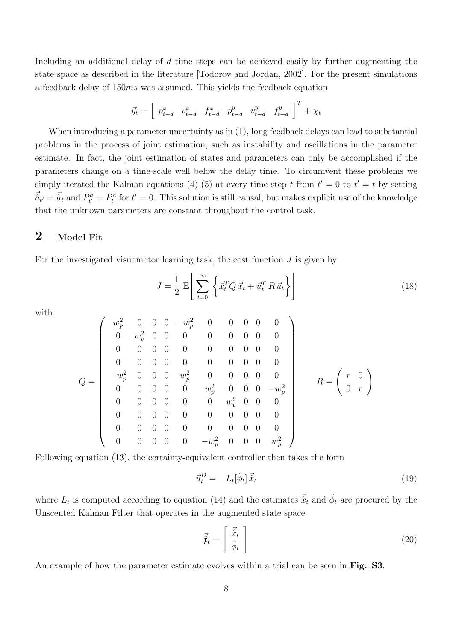Including an additional delay of d time steps can be achieved easily by further augmenting the state space as described in the literature [Todorov and Jordan, 2002]. For the present simulations a feedback delay of 150ms was assumed. This yields the feedback equation

$$
\vec{y}_t = \begin{bmatrix} p_{t-d}^x & v_{t-d}^x & f_{t-d}^x & p_{t-d}^y & v_{t-d}^y & f_{t-d}^y \end{bmatrix}^T + \chi_t
$$

When introducing a parameter uncertainty as in (1), long feedback delays can lead to substantial problems in the process of joint estimation, such as instability and oscillations in the parameter estimate. In fact, the joint estimation of states and parameters can only be accomplished if the parameters change on a time-scale well below the delay time. To circumvent these problems we simply iterated the Kalman equations (4)-(5) at every time step t from  $t' = 0$  to  $t' = t$  by setting  $\vec{a}_{t'} = \vec{a}_t$  and  $P_{t'}^a = P_t^a$  for  $t' = 0$ . This solution is still causal, but makes explicit use of the knowledge that the unknown parameters are constant throughout the control task.

#### 2 Model Fit

For the investigated visuomotor learning task, the cost function  $J$  is given by

$$
J = \frac{1}{2} \mathbb{E} \left[ \sum_{t=0}^{\infty} \left\{ \vec{x}_t^T Q \, \vec{x}_t + \vec{u}_t^T R \, \vec{u}_t \right\} \right] \tag{18}
$$

with

$$
Q = \left(\begin{array}{ccccccccc} w_p^2 & 0 & 0 & 0 & -w_p^2 & 0 & 0 & 0 & 0 & 0 \\ 0 & w_v^2 & 0 & 0 & 0 & 0 & 0 & 0 & 0 & 0 \\ 0 & 0 & 0 & 0 & 0 & 0 & 0 & 0 & 0 & 0 \\ 0 & 0 & 0 & 0 & 0 & 0 & 0 & 0 & 0 & 0 \\ -w_p^2 & 0 & 0 & 0 & w_p^2 & 0 & 0 & 0 & 0 & 0 \\ 0 & 0 & 0 & 0 & 0 & w_p^2 & 0 & 0 & 0 & -w_p^2 \\ 0 & 0 & 0 & 0 & 0 & 0 & 0 & 0 & 0 & 0 \\ 0 & 0 & 0 & 0 & 0 & 0 & 0 & 0 & 0 & 0 \\ 0 & 0 & 0 & 0 & 0 & 0 & 0 & 0 & 0 & 0 \\ 0 & 0 & 0 & 0 & 0 & 0 & 0 & 0 & 0 & w_p^2 \end{array}\right) \quad R = \left(\begin{array}{c} r & 0 \\ r & 0 \\ 0 & r \end{array}\right)
$$

Following equation (13), the certainty-equivalent controller then takes the form

$$
\vec{u}_t^D = -L_t[\hat{\phi}_t] \vec{\hat{x}}_t \tag{19}
$$

where  $L_t$  is computed according to equation (14) and the estimates  $\vec{\hat{x}}_t$  and  $\hat{\phi}_t$  are procured by the Unscented Kalman Filter that operates in the augmented state space

$$
\vec{\hat{\mathbf{r}}}_t = \begin{bmatrix} \vec{\hat{x}}_t \\ \hat{\phi}_t \end{bmatrix} \tag{20}
$$

An example of how the parameter estimate evolves within a trial can be seen in Fig. S3.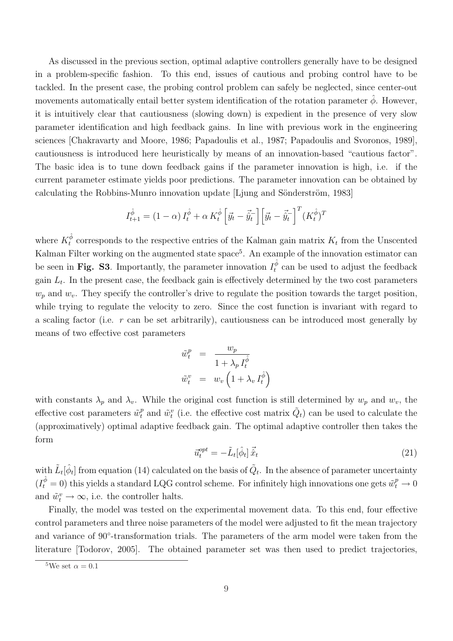As discussed in the previous section, optimal adaptive controllers generally have to be designed in a problem-specific fashion. To this end, issues of cautious and probing control have to be tackled. In the present case, the probing control problem can safely be neglected, since center-out movements automatically entail better system identification of the rotation parameter  $\phi$ . However, it is intuitively clear that cautiousness (slowing down) is expedient in the presence of very slow parameter identification and high feedback gains. In line with previous work in the engineering sciences [Chakravarty and Moore, 1986; Papadoulis et al., 1987; Papadoulis and Svoronos, 1989], cautiousness is introduced here heuristically by means of an innovation-based "cautious factor". The basic idea is to tune down feedback gains if the parameter innovation is high, i.e. if the current parameter estimate yields poor predictions. The parameter innovation can be obtained by calculating the Robbins-Munro innovation update  $[L_j]$ ung and Sönderström, 1983

$$
I_{t+1}^{\hat{\phi}} = (1 - \alpha) I_t^{\hat{\phi}} + \alpha K_t^{\hat{\phi}} \left[ \vec{y}_t - \vec{\hat{y}}_t^- \right] \left[ \vec{y}_t - \vec{\hat{y}}_t^- \right]^T (K_t^{\hat{\phi}})^T
$$

where  $K_t^{\hat{\phi}}$  corresponds to the respective entries of the Kalman gain matrix  $K_t$  from the Unscented Kalman Filter working on the augmented state space<sup>5</sup>. An example of the innovation estimator can be seen in Fig. S3. Importantly, the parameter innovation  $I_t^{\hat{\phi}}$  can be used to adjust the feedback gain  $L_t$ . In the present case, the feedback gain is effectively determined by the two cost parameters  $w_p$  and  $w_v$ . They specify the controller's drive to regulate the position towards the target position, while trying to regulate the velocity to zero. Since the cost function is invariant with regard to a scaling factor (i.e. r can be set arbitrarily), cautiousness can be introduced most generally by means of two effective cost parameters

$$
\begin{array}{rcl}\n\tilde{w}_t^p & = & \frac{w_p}{1 + \lambda_p I_t^{\hat{\phi}}} \\
\tilde{w}_t^v & = & w_v \left( 1 + \lambda_v I_t^{\hat{\phi}} \right)\n\end{array}
$$

with constants  $\lambda_p$  and  $\lambda_v$ . While the original cost function is still determined by  $w_p$  and  $w_v$ , the effective cost parameters  $\tilde{w}_t^p$  and  $\tilde{w}_t^v$  (i.e. the effective cost matrix  $\tilde{Q}_t$ ) can be used to calculate the (approximatively) optimal adaptive feedback gain. The optimal adaptive controller then takes the form

$$
\vec{u}_t^{opt} = -\tilde{L}_t[\hat{\phi}_t] \vec{\hat{x}}_t \tag{21}
$$

with  $\tilde{L}_t[\hat{\phi}_t]$  from equation (14) calculated on the basis of  $\tilde{Q}_t$ . In the absence of parameter uncertainty  $(I_t^{\hat{\phi}} = 0)$  this yields a standard LQG control scheme. For infinitely high innovations one gets  $\tilde{w}_t^p \to 0$ and  $\tilde{w}_t^v \to \infty$ , i.e. the controller halts.

Finally, the model was tested on the experimental movement data. To this end, four effective control parameters and three noise parameters of the model were adjusted to fit the mean trajectory and variance of 90°-transformation trials. The parameters of the arm model were taken from the literature [Todorov, 2005]. The obtained parameter set was then used to predict trajectories,

<sup>&</sup>lt;sup>5</sup>We set  $\alpha = 0.1$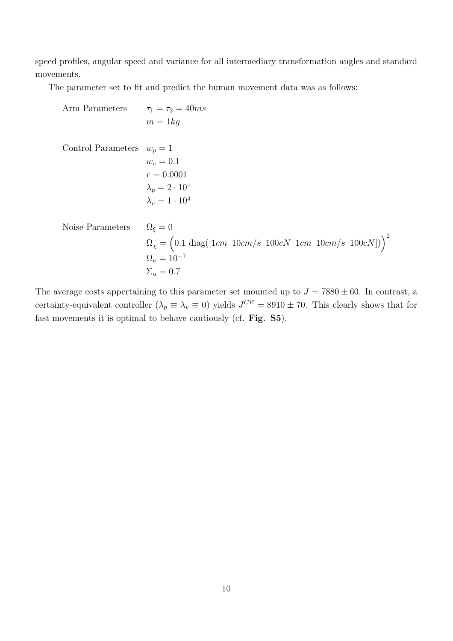speed profiles, angular speed and variance for all intermediary transformation angles and standard movements.

The parameter set to fit and predict the human movement data was as follows:

Arm Parameters  $\tau_1 = \tau_2 = 40ms$  $m = 1kq$ Control Parameters  $w_p = 1$  $w_v = 0.1$  $r = 0.0001$  $\lambda_p = 2 \cdot 10^4$  $\lambda_v = 1 \cdot 10^4$ Noise Parameters  $\Omega_{\xi} = 0$  $\Omega_{\chi} = (0.1 \text{ diag}([1cm \; 10cm/s \; 100cN \; 1cm \; 10cm/s \; 100cN]))^2$  $Ω<sub>ν</sub> = 10<sup>-7</sup>$  $\Sigma_u = 0.7$ 

The average costs appertaining to this parameter set mounted up to  $J = 7880 \pm 60$ . In contrast, a certainty-equivalent controller  $(\lambda_p \equiv \lambda_v \equiv 0)$  yields  $J^{CE} = 8910 \pm 70$ . This clearly shows that for fast movements it is optimal to behave cautiously (cf. Fig. S5).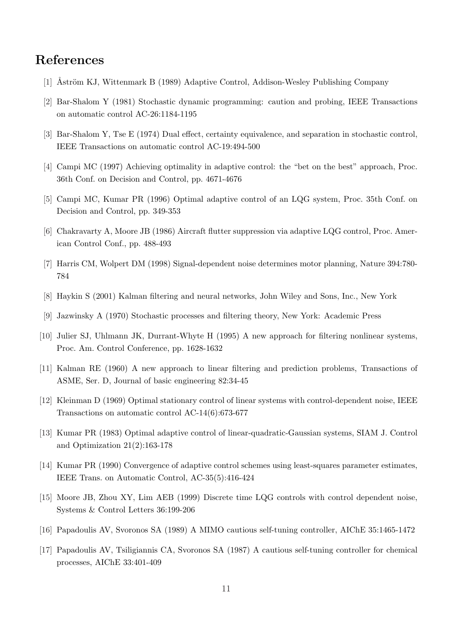### References

- [1] Åström KJ, Wittenmark B (1989) Adaptive Control, Addison-Wesley Publishing Company
- [2] Bar-Shalom Y (1981) Stochastic dynamic programming: caution and probing, IEEE Transactions on automatic control AC-26:1184-1195
- [3] Bar-Shalom Y, Tse E (1974) Dual effect, certainty equivalence, and separation in stochastic control, IEEE Transactions on automatic control AC-19:494-500
- [4] Campi MC (1997) Achieving optimality in adaptive control: the "bet on the best" approach, Proc. 36th Conf. on Decision and Control, pp. 4671-4676
- [5] Campi MC, Kumar PR (1996) Optimal adaptive control of an LQG system, Proc. 35th Conf. on Decision and Control, pp. 349-353
- [6] Chakravarty A, Moore JB (1986) Aircraft flutter suppression via adaptive LQG control, Proc. American Control Conf., pp. 488-493
- [7] Harris CM, Wolpert DM (1998) Signal-dependent noise determines motor planning, Nature 394:780- 784
- [8] Haykin S (2001) Kalman filtering and neural networks, John Wiley and Sons, Inc., New York
- [9] Jazwinsky A (1970) Stochastic processes and filtering theory, New York: Academic Press
- [10] Julier SJ, Uhlmann JK, Durrant-Whyte H (1995) A new approach for filtering nonlinear systems, Proc. Am. Control Conference, pp. 1628-1632
- [11] Kalman RE (1960) A new approach to linear filtering and prediction problems, Transactions of ASME, Ser. D, Journal of basic engineering 82:34-45
- [12] Kleinman D (1969) Optimal stationary control of linear systems with control-dependent noise, IEEE Transactions on automatic control AC-14(6):673-677
- [13] Kumar PR (1983) Optimal adaptive control of linear-quadratic-Gaussian systems, SIAM J. Control and Optimization 21(2):163-178
- [14] Kumar PR (1990) Convergence of adaptive control schemes using least-squares parameter estimates, IEEE Trans. on Automatic Control, AC-35(5):416-424
- [15] Moore JB, Zhou XY, Lim AEB (1999) Discrete time LQG controls with control dependent noise, Systems & Control Letters 36:199-206
- [16] Papadoulis AV, Svoronos SA (1989) A MIMO cautious self-tuning controller, AIChE 35:1465-1472
- [17] Papadoulis AV, Tsiligiannis CA, Svoronos SA (1987) A cautious self-tuning controller for chemical processes, AIChE 33:401-409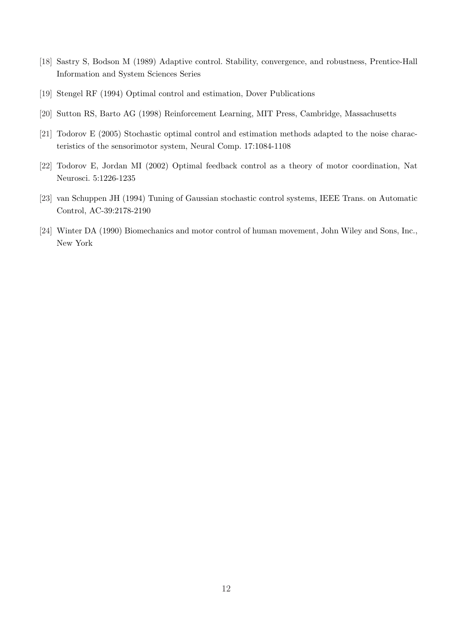- [18] Sastry S, Bodson M (1989) Adaptive control. Stability, convergence, and robustness, Prentice-Hall Information and System Sciences Series
- [19] Stengel RF (1994) Optimal control and estimation, Dover Publications
- [20] Sutton RS, Barto AG (1998) Reinforcement Learning, MIT Press, Cambridge, Massachusetts
- [21] Todorov E (2005) Stochastic optimal control and estimation methods adapted to the noise characteristics of the sensorimotor system, Neural Comp. 17:1084-1108
- [22] Todorov E, Jordan MI (2002) Optimal feedback control as a theory of motor coordination, Nat Neurosci. 5:1226-1235
- [23] van Schuppen JH (1994) Tuning of Gaussian stochastic control systems, IEEE Trans. on Automatic Control, AC-39:2178-2190
- [24] Winter DA (1990) Biomechanics and motor control of human movement, John Wiley and Sons, Inc., New York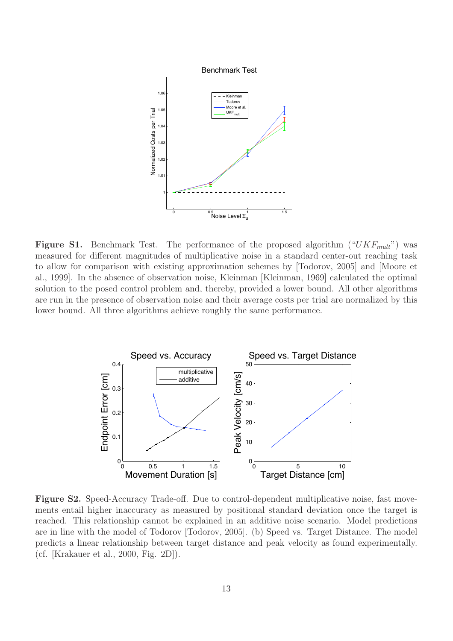

**Figure S1.** Benchmark Test. The performance of the proposed algorithm  $("UKF<sub>mult</sub>")$  was measured for different magnitudes of multiplicative noise in a standard center-out reaching task to allow for comparison with existing approximation schemes by [Todorov, 2005] and [Moore et al., 1999]. In the absence of observation noise, Kleinman [Kleinman, 1969] calculated the optimal solution to the posed control problem and, thereby, provided a lower bound. All other algorithms are run in the presence of observation noise and their average costs per trial are normalized by this lower bound. All three algorithms achieve roughly the same performance.



Figure S2. Speed-Accuracy Trade-off. Due to control-dependent multiplicative noise, fast movements entail higher inaccuracy as measured by positional standard deviation once the target is reached. This relationship cannot be explained in an additive noise scenario. Model predictions are in line with the model of Todorov [Todorov, 2005]. (b) Speed vs. Target Distance. The model predicts a linear relationship between target distance and peak velocity as found experimentally. (cf. [Krakauer et al., 2000, Fig. 2D]).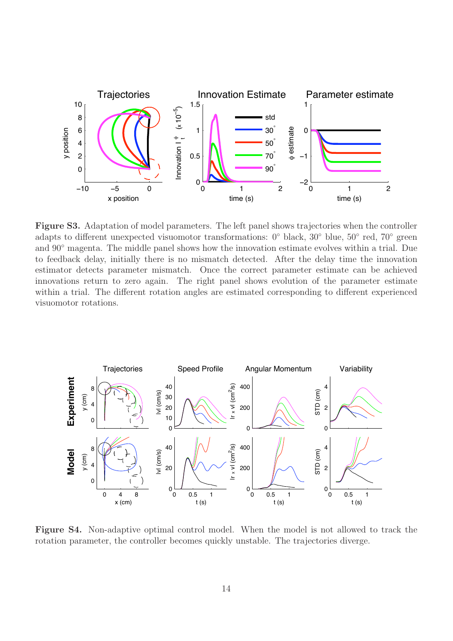

Figure S3. Adaptation of model parameters. The left panel shows trajectories when the controller adapts to different unexpected visuomotor transformations: 0◦ black, 30◦ blue, 50◦ red, 70◦ green and 90° magenta. The middle panel shows how the innovation estimate evolves within a trial. Due to feedback delay, initially there is no mismatch detected. After the delay time the innovation estimator detects parameter mismatch. Once the correct parameter estimate can be achieved innovations return to zero again. The right panel shows evolution of the parameter estimate within a trial. The different rotation angles are estimated corresponding to different experienced visuomotor rotations.



Figure S4. Non-adaptive optimal control model. When the model is not allowed to track the rotation parameter, the controller becomes quickly unstable. The trajectories diverge.